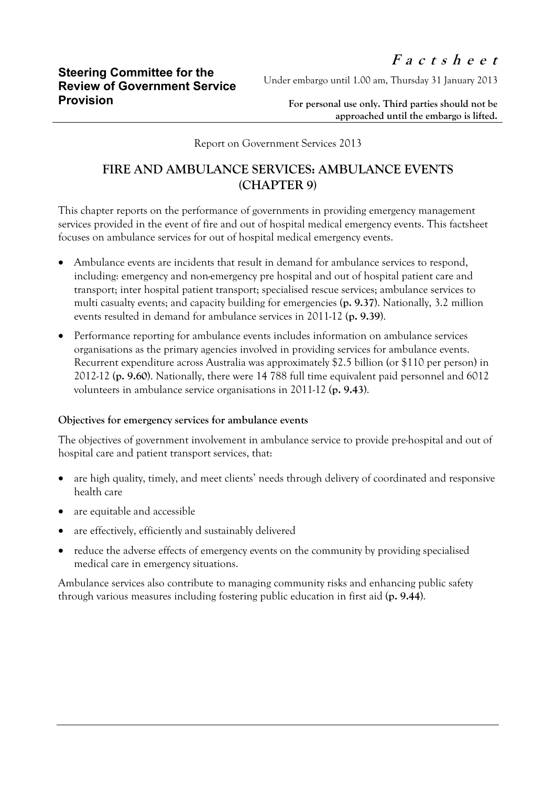Under embargo until 1.00 am, Thursday 31 January 2013

**For personal use only. Third parties should not be approached until the embargo is lifted.**

Report on Government Services 2013

## **FIRE AND AMBULANCE SERVICES: AMBULANCE EVENTS (CHAPTER 9)**

This chapter reports on the performance of governments in providing emergency management services provided in the event of fire and out of hospital medical emergency events. This factsheet focuses on ambulance services for out of hospital medical emergency events.

- Ambulance events are incidents that result in demand for ambulance services to respond, including: emergency and non-emergency pre hospital and out of hospital patient care and transport; inter hospital patient transport; specialised rescue services; ambulance services to multi casualty events; and capacity building for emergencies (**p. 9.37**). Nationally, 3.2 million events resulted in demand for ambulance services in 2011-12 (**p. 9.39**).
- Performance reporting for ambulance events includes information on ambulance services organisations as the primary agencies involved in providing services for ambulance events. Recurrent expenditure across Australia was approximately \$2.5 billion (or \$110 per person) in 2012-12 (**p. 9.60**). Nationally, there were 14 788 full time equivalent paid personnel and 6012 volunteers in ambulance service organisations in 2011-12 (**p. 9.43**).

## **Objectives for emergency services for ambulance events**

The objectives of government involvement in ambulance service to provide pre-hospital and out of hospital care and patient transport services, that:

- are high quality, timely, and meet clients' needs through delivery of coordinated and responsive health care
- are equitable and accessible
- are effectively, efficiently and sustainably delivered
- reduce the adverse effects of emergency events on the community by providing specialised medical care in emergency situations.

Ambulance services also contribute to managing community risks and enhancing public safety through various measures including fostering public education in first aid (**p. 9.44**).